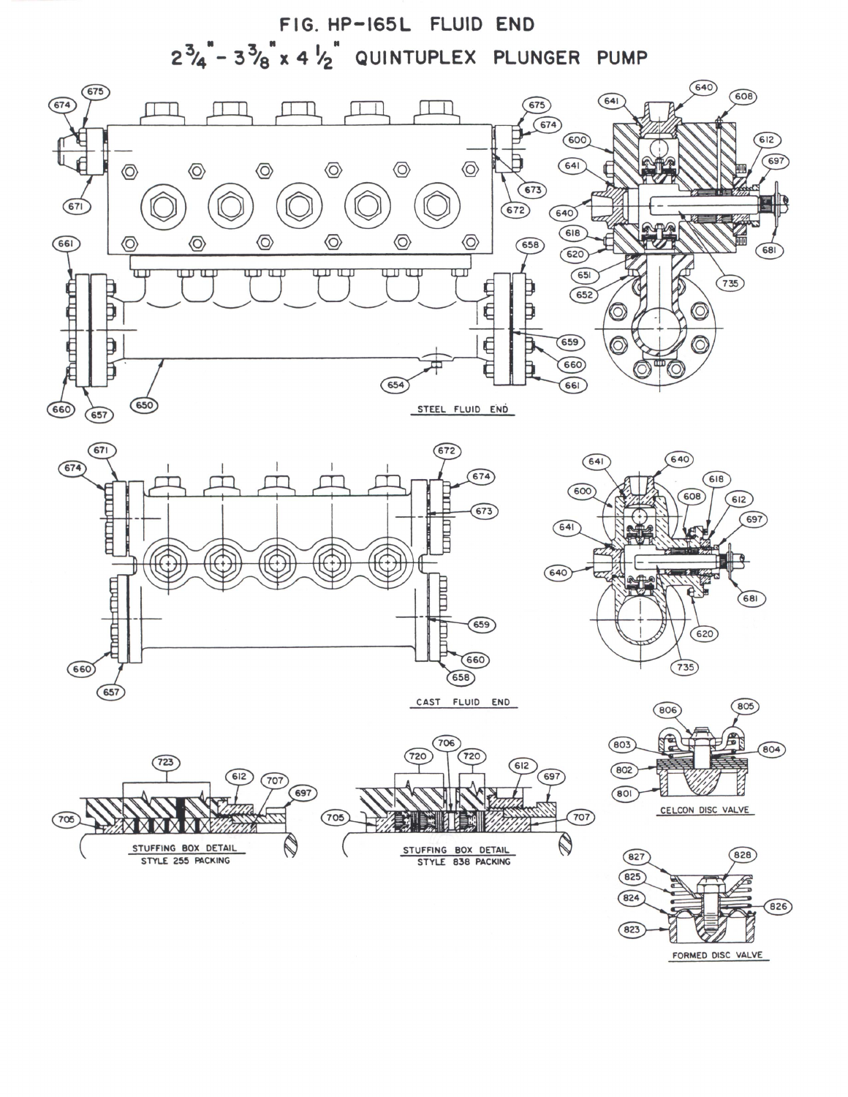

STEEL FLUID END

 $\binom{67}{ }$  $(672)$  $\binom{674}{ }$  $(674)$ E  $673$ **TIME**  $m$ n and THE  $659$  $(660)$  $(660)$  $(658)$  $(657)$ CAST FLUID END

 $\left(650\right)$ 

660

 $(657)$ 







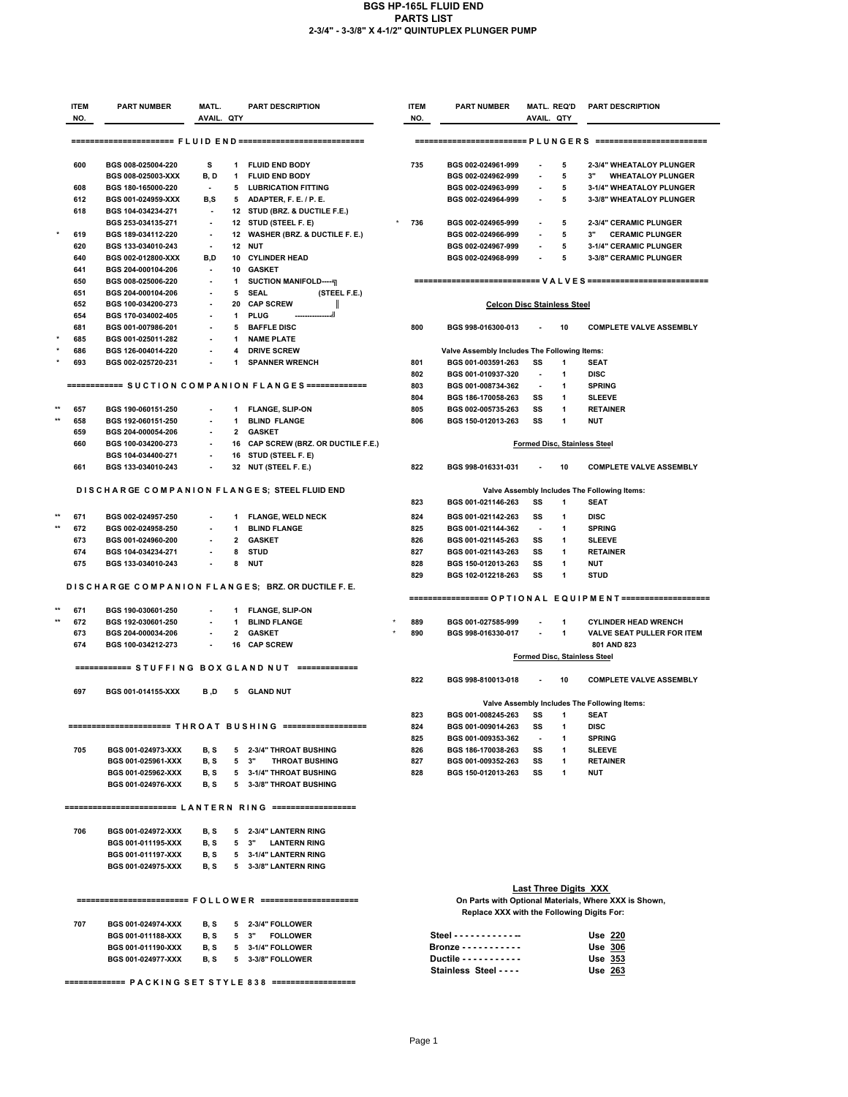## **BGS HP-165L FLUID END PARTS LIST 2-3/4" - 3-3/8" X 4-1/2" QUINTUPLEX PLUNGER PUMP**

|  | <b>ITEM</b><br>NO.                                            | <b>PART NUMBER</b>                       | MATL.<br>AVAIL. QTY             |                                                         | <b>PART DESCRIPTION</b>                                         | <b>ITEM</b><br>NO.                                    | <b>PART NUMBER</b>                                            | AVAIL. QTY                          | <b>MATL. REQ'D</b> | <b>PART DESCRIPTION</b>                                               |  |  |
|--|---------------------------------------------------------------|------------------------------------------|---------------------------------|---------------------------------------------------------|-----------------------------------------------------------------|-------------------------------------------------------|---------------------------------------------------------------|-------------------------------------|--------------------|-----------------------------------------------------------------------|--|--|
|  | ====================== FLUID END ============================ |                                          |                                 |                                                         |                                                                 |                                                       |                                                               |                                     |                    |                                                                       |  |  |
|  |                                                               |                                          |                                 | $==$                                                    |                                                                 |                                                       |                                                               |                                     |                    |                                                                       |  |  |
|  | 600                                                           | BGS 008-025004-220                       | s                               | 1                                                       | <b>FLUID END BODY</b>                                           | 735                                                   | BGS 002-024961-999                                            |                                     | 5                  | 2-3/4" WHEATALOY PLUNGER                                              |  |  |
|  |                                                               | BGS 008-025003-XXX                       | B, D                            | 1                                                       | <b>FLUID END BODY</b>                                           |                                                       | BGS 002-024962-999                                            | $\blacksquare$                      | 5                  | 3"<br><b>WHEATALOY PLUNGER</b>                                        |  |  |
|  | 608                                                           | BGS 180-165000-220                       | $\blacksquare$                  | 5                                                       | <b>LUBRICATION FITTING</b>                                      |                                                       | BGS 002-024963-999                                            |                                     | 5                  | 3-1/4" WHEATALOY PLUNGER                                              |  |  |
|  | 612<br>618                                                    | BGS 001-024959-XXX<br>BGS 104-034234-271 | B,S<br>$\overline{\phantom{a}}$ | 5<br>12                                                 | ADAPTER, F. E. / P. E.<br><b>STUD (BRZ. &amp; DUCTILE F.E.)</b> |                                                       | BGS 002-024964-999                                            | $\overline{a}$                      | 5                  | 3-3/8" WHEATALOY PLUNGER                                              |  |  |
|  |                                                               | BGS 253-034135-271                       |                                 |                                                         | 12 STUD (STEEL F. E)                                            | 736                                                   | BGS 002-024965-999                                            | $\overline{\phantom{a}}$            | 5                  | 2-3/4" CERAMIC PLUNGER                                                |  |  |
|  | 619                                                           | BGS 189-034112-220                       | $\overline{\phantom{a}}$        |                                                         | 12 WASHER (BRZ. & DUCTILE F. E.)                                |                                                       | BGS 002-024966-999                                            | $\blacksquare$                      | 5                  | 3"<br><b>CERAMIC PLUNGER</b>                                          |  |  |
|  | 620                                                           | BGS 133-034010-243                       |                                 | 12                                                      | NUT                                                             |                                                       | BGS 002-024967-999                                            |                                     | 5                  | 3-1/4" CERAMIC PLUNGER                                                |  |  |
|  | 640                                                           | BGS 002-012800-XXX                       | B.D                             |                                                         | 10 CYLINDER HEAD                                                |                                                       | BGS 002-024968-999                                            | $\overline{a}$                      | 5                  | 3-3/8" CERAMIC PLUNGER                                                |  |  |
|  | 641                                                           | BGS 204-000104-206                       | $\overline{\phantom{a}}$        | 10                                                      | <b>GASKET</b>                                                   |                                                       |                                                               |                                     |                    |                                                                       |  |  |
|  | 650                                                           | BGS 008-025006-220                       |                                 | 1                                                       | <b>SUCTION MANIFOLD------</b>                                   |                                                       |                                                               |                                     |                    |                                                                       |  |  |
|  | 651<br>652                                                    | BGS 204-000104-206<br>BGS 100-034200-273 | ٠                               | 5<br>20                                                 | <b>SEAL</b><br>(STEEL F.E.)<br><b>CAP SCREW</b>                 |                                                       | <b>Celcon Disc Stainless Steel</b>                            |                                     |                    |                                                                       |  |  |
|  | 654                                                           | BGS 170-034002-405                       |                                 | 1                                                       | <b>PLUG</b>                                                     |                                                       |                                                               |                                     |                    |                                                                       |  |  |
|  | 681                                                           | BGS 001-007986-201                       |                                 | 5                                                       | <b>BAFFLE DISC</b>                                              | 800                                                   | BGS 998-016300-013                                            |                                     | 10                 | <b>COMPLETE VALVE ASSEMBLY</b>                                        |  |  |
|  | 685                                                           | BGS 001-025011-282                       |                                 | -1                                                      | <b>NAME PLATE</b>                                               |                                                       |                                                               |                                     |                    |                                                                       |  |  |
|  | 686                                                           | BGS 126-004014-220                       | ٠                               | 4                                                       | <b>DRIVE SCREW</b>                                              |                                                       | Valve Assembly Includes The Following Items:                  |                                     |                    |                                                                       |  |  |
|  | 693                                                           | BGS 002-025720-231                       |                                 | 1                                                       | <b>SPANNER WRENCH</b>                                           | 801                                                   | BGS 001-003591-263                                            | SS                                  | 1                  | <b>SEAT</b>                                                           |  |  |
|  |                                                               |                                          |                                 |                                                         |                                                                 | 802                                                   | BGS 001-010937-320                                            | $\blacksquare$                      | 1                  | <b>DISC</b>                                                           |  |  |
|  |                                                               |                                          |                                 |                                                         | ============ SUCTION COMPANION FLANGES ==============           | 803<br>804                                            | BGS 001-008734-362<br>BGS 186-170058-263                      | $\overline{\phantom{a}}$<br>SS      | 1<br>1             | <b>SPRING</b><br><b>SLEEVE</b>                                        |  |  |
|  | 657                                                           | BGS 190-060151-250                       |                                 | 1                                                       | <b>FLANGE, SLIP-ON</b>                                          | 805                                                   | BGS 002-005735-263                                            | SS                                  | 1                  | <b>RETAINER</b>                                                       |  |  |
|  | 658                                                           | BGS 192-060151-250                       |                                 | $\mathbf{1}$                                            | <b>BLIND FLANGE</b>                                             | 806                                                   | BGS 150-012013-263                                            | SS                                  | 1                  | <b>NUT</b>                                                            |  |  |
|  | 659                                                           | BGS 204-000054-206                       | $\overline{a}$                  | $\overline{2}$                                          | <b>GASKET</b>                                                   |                                                       |                                                               |                                     |                    |                                                                       |  |  |
|  | 660                                                           | BGS 100-034200-273                       |                                 | 16                                                      | CAP SCREW (BRZ. OR DUCTILE F.E.)                                |                                                       |                                                               |                                     |                    | Formed Disc, Stainless Steel                                          |  |  |
|  |                                                               | BGS 104-034400-271                       |                                 | 16                                                      | <b>STUD (STEEL F. E)</b>                                        |                                                       |                                                               |                                     |                    |                                                                       |  |  |
|  | 661                                                           | BGS 133-034010-243                       |                                 | 32                                                      | <b>NUT (STEEL F. E.)</b>                                        | 822                                                   | BGS 998-016331-031                                            |                                     | 10                 | <b>COMPLETE VALVE ASSEMBLY</b>                                        |  |  |
|  |                                                               |                                          |                                 |                                                         |                                                                 |                                                       |                                                               |                                     |                    |                                                                       |  |  |
|  |                                                               |                                          |                                 |                                                         | DISCHARGE COMPANION FLANGES; STEEL FLUID END                    | 823                                                   | BGS 001-021146-263                                            | SS                                  | 1                  | Valve Assembly Includes The Following Items:<br>SEAT                  |  |  |
|  |                                                               |                                          |                                 |                                                         |                                                                 |                                                       |                                                               |                                     |                    |                                                                       |  |  |
|  | 671<br>672                                                    | BGS 002-024957-250<br>BGS 002-024958-250 | ٠                               | 1<br>$\mathbf{1}$                                       | <b>FLANGE, WELD NECK</b><br><b>BLIND FLANGE</b>                 | 824<br>825                                            | BGS 001-021142-263<br>BGS 001-021144-362                      | SS<br>$\overline{\phantom{a}}$      | 1<br>1             | <b>DISC</b><br><b>SPRING</b>                                          |  |  |
|  | 673                                                           | BGS 001-024960-200                       |                                 | $\overline{2}$                                          | <b>GASKET</b>                                                   | 826                                                   | BGS 001-021145-263                                            | SS                                  | 1                  | <b>SLEEVE</b>                                                         |  |  |
|  | 674                                                           | BGS 104-034234-271                       |                                 | 8                                                       | <b>STUD</b>                                                     | 827                                                   | BGS 001-021143-263                                            | SS                                  | 1                  | <b>RETAINER</b>                                                       |  |  |
|  | 675                                                           | BGS 133-034010-243                       |                                 | 8                                                       | <b>NUT</b>                                                      | 828                                                   | BGS 150-012013-263                                            | SS                                  | 1                  | <b>NUT</b>                                                            |  |  |
|  |                                                               |                                          |                                 |                                                         |                                                                 | 829                                                   | BGS 102-012218-263                                            | SS                                  | 1                  | <b>STUD</b>                                                           |  |  |
|  |                                                               |                                          |                                 |                                                         | DISCHARGE COMPANION FLANGES; BRZ. OR DUCTILE F.E.               |                                                       |                                                               |                                     |                    |                                                                       |  |  |
|  | 671                                                           | BGS 190-030601-250                       |                                 | 1                                                       | <b>FLANGE, SLIP-ON</b>                                          |                                                       |                                                               |                                     |                    | ================= O P T I O N A L E Q U I P M E N T ================= |  |  |
|  | 672                                                           | BGS 192-030601-250                       |                                 | $\mathbf{1}$                                            | <b>BLIND FLANGE</b>                                             | 889                                                   | BGS 001-027585-999                                            |                                     | 1                  | <b>CYLINDER HEAD WRENCH</b>                                           |  |  |
|  | 673                                                           | BGS 204-000034-206                       | ٠                               | 2                                                       | <b>GASKET</b>                                                   | 890                                                   | BGS 998-016330-017                                            |                                     | 1                  | <b>VALVE SEAT PULLER FOR ITEM</b>                                     |  |  |
|  | 674                                                           | BGS 100-034212-273                       |                                 | 16                                                      | <b>CAP SCREW</b>                                                |                                                       |                                                               |                                     |                    | 801 AND 823                                                           |  |  |
|  |                                                               |                                          |                                 |                                                         |                                                                 |                                                       |                                                               | <b>Formed Disc, Stainless Steel</b> |                    |                                                                       |  |  |
|  |                                                               |                                          |                                 |                                                         | ============ STUFFING BOX GLAND NUT =============               |                                                       |                                                               |                                     |                    |                                                                       |  |  |
|  |                                                               |                                          |                                 |                                                         |                                                                 | 822                                                   | BGS 998-810013-018                                            |                                     | 10                 | <b>COMPLETE VALVE ASSEMBLY</b>                                        |  |  |
|  | 697                                                           | BGS 001-014155-XXX                       | B,D                             | 5                                                       | <b>GLAND NUT</b>                                                |                                                       |                                                               |                                     |                    | Valve Assembly Includes The Following Items:                          |  |  |
|  |                                                               |                                          |                                 |                                                         |                                                                 | 823                                                   | BGS 001-008245-263                                            | SS                                  | 1                  | <b>SEAT</b>                                                           |  |  |
|  |                                                               |                                          |                                 |                                                         |                                                                 | 824                                                   | BGS 001-009014-263                                            | SS                                  | 1                  | <b>DISC</b>                                                           |  |  |
|  |                                                               |                                          |                                 |                                                         |                                                                 | 825                                                   | BGS 001-009353-362                                            | $\overline{\phantom{a}}$            | 1                  | <b>SPRING</b>                                                         |  |  |
|  | 705                                                           | BGS 001-024973-XXX                       | B, S                            |                                                         | 5 2-3/4" THROAT BUSHING                                         | 826                                                   | BGS 186-170038-263                                            | SS                                  | 1                  | <b>SLEEVE</b>                                                         |  |  |
|  |                                                               | BGS 001-025961-XXX                       | B, S                            |                                                         | 5 <sup>3</sup><br><b>THROAT BUSHING</b>                         | 827                                                   | BGS 001-009352-263                                            | SS                                  | 1                  | <b>RETAINER</b>                                                       |  |  |
|  |                                                               | BGS 001-025962-XXX                       | B, S                            |                                                         | 5 3-1/4" THROAT BUSHING                                         | 828                                                   | BGS 150-012013-263                                            | SS                                  | 1                  | <b>NUT</b>                                                            |  |  |
|  |                                                               | BGS 001-024976-XXX                       | B, S                            |                                                         | 5 3-3/8" THROAT BUSHING                                         |                                                       |                                                               |                                     |                    |                                                                       |  |  |
|  |                                                               |                                          |                                 |                                                         |                                                                 |                                                       |                                                               |                                     |                    |                                                                       |  |  |
|  |                                                               |                                          |                                 |                                                         |                                                                 |                                                       |                                                               |                                     |                    |                                                                       |  |  |
|  | 706                                                           | BGS 001-024972-XXX                       | B, S                            |                                                         | 5 2-3/4" LANTERN RING                                           |                                                       |                                                               |                                     |                    |                                                                       |  |  |
|  |                                                               | BGS 001-011195-XXX                       | B, S                            |                                                         | 5 <sup>3</sup><br><b>LANTERN RING</b>                           |                                                       |                                                               |                                     |                    |                                                                       |  |  |
|  |                                                               | BGS 001-011197-XXX                       | B, S                            |                                                         | 5 3-1/4" LANTERN RING                                           |                                                       |                                                               |                                     |                    |                                                                       |  |  |
|  |                                                               | BGS 001-024975-XXX                       | B, S                            |                                                         | 5 3-3/8" LANTERN RING                                           |                                                       |                                                               |                                     |                    |                                                                       |  |  |
|  |                                                               |                                          |                                 |                                                         |                                                                 |                                                       |                                                               | Last Three Digits XXX               |                    |                                                                       |  |  |
|  |                                                               |                                          |                                 | ======================== FOLLOWER ===================== |                                                                 | On Parts with Optional Materials, Where XXX is Shown, |                                                               |                                     |                    |                                                                       |  |  |
|  |                                                               |                                          |                                 |                                                         |                                                                 |                                                       | Replace XXX with the Following Digits For:                    |                                     |                    |                                                                       |  |  |
|  | 707                                                           | BGS 001-024974-XXX                       | B, S                            |                                                         | 5 2-3/4" FOLLOWER                                               |                                                       |                                                               |                                     |                    |                                                                       |  |  |
|  |                                                               | BGS 001-011188-XXX                       | B, S                            |                                                         | $5 \quad 3"$<br><b>FOLLOWER</b>                                 |                                                       | Steel - - - - - - - - - - - -                                 |                                     |                    | <b>Use 220</b>                                                        |  |  |
|  |                                                               | BGS 001-011190-XXX                       | B, S                            |                                                         | 5 3-1/4" FOLLOWER                                               |                                                       | Bronze - - - - - - - - - - -<br>Ductile - - - - - - - - - - - |                                     |                    | Use 306                                                               |  |  |
|  |                                                               | BGS 001-024977-XXX                       | B, S                            |                                                         | 5 3-3/8" FOLLOWER                                               |                                                       | Stainless Steel - - - -                                       |                                     |                    | Use 353<br>Use 263                                                    |  |  |
|  |                                                               |                                          |                                 |                                                         |                                                                 |                                                       |                                                               |                                     |                    |                                                                       |  |  |

 **============= P A C K I N G S E T S T Y L E 8 3 8 ==================**